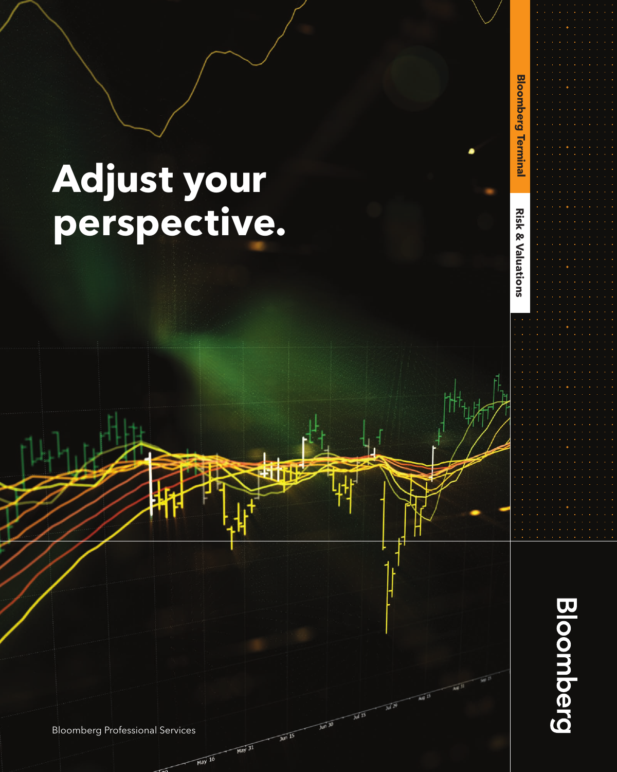# **Adjust your perspective.**



 $\widetilde{M}^{\widetilde{B}}$ 

 $\overline{M}$ <sup>15</sup>

 $\sqrt{10^{130}}$ 

 $\frac{1}{100}$  15

 $\overline{\text{May } 31}$ 

 $\overline{May}$  16

**Risk & Valuations Bloomberg Terminal**

**Risk & Valuations** 

**Bloomberg Terminal** 

Bloomberg Professional Services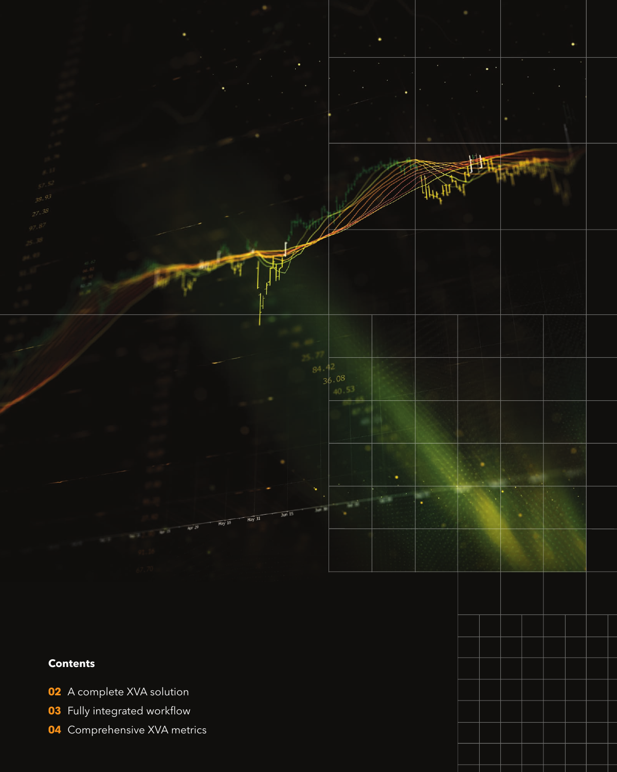

# **Contents**

- A complete XVA solution
- Fully integrated workflow
- Comprehensive XVA metrics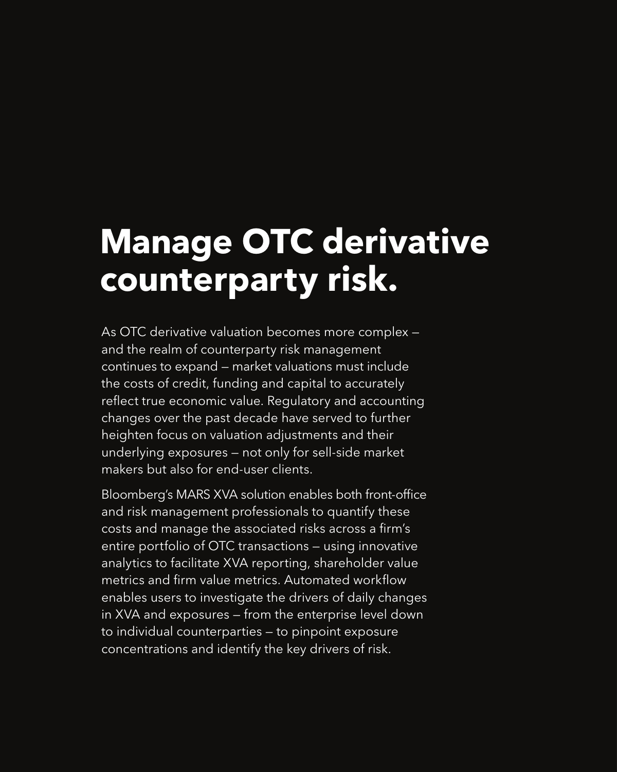# **Manage OTC derivative counterparty risk.**

As OTC derivative valuation becomes more complex and the realm of counterparty risk management continues to expand — market valuations must include the costs of credit, funding and capital to accurately reflect true economic value. Regulatory and accounting changes over the past decade have served to further heighten focus on valuation adjustments and their underlying exposures — not only for sell-side market makers but also for end-user clients.

Bloomberg's MARS XVA solution enables both front-office and risk management professionals to quantify these costs and manage the associated risks across a firm's entire portfolio of OTC transactions — using innovative analytics to facilitate XVA reporting, shareholder value metrics and firm value metrics. Automated workflow enables users to investigate the drivers of daily changes in XVA and exposures — from the enterprise level down to individual counterparties — to pinpoint exposure concentrations and identify the key drivers of risk.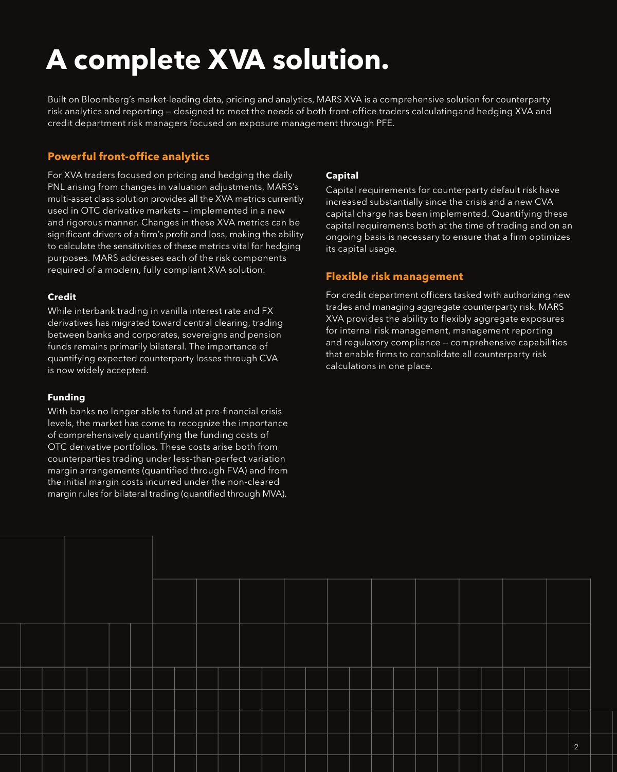# **A complete XVA solution.**

Built on Bloomberg's market-leading data, pricing and analytics, MARS XVA is a comprehensive solution for counterparty risk analytics and reporting — designed to meet the needs of both front-office traders calculatingand hedging XVA and credit department risk managers focused on exposure management through PFE.

## **Powerful front-office analytics**

For XVA traders focused on pricing and hedging the daily PNL arising from changes in valuation adjustments, MARS's multi-asset class solution provides all the XVA metrics currently used in OTC derivative markets — implemented in a new and rigorous manner. Changes in these XVA metrics can be significant drivers of a firm's profit and loss, making the ability to calculate the sensitivities of these metrics vital for hedging purposes. MARS addresses each of the risk components required of a modern, fully compliant XVA solution:

### **Credit**

While interbank trading in vanilla interest rate and FX derivatives has migrated toward central clearing, trading between banks and corporates, sovereigns and pension funds remains primarily bilateral. The importance of quantifying expected counterparty losses through CVA is now widely accepted.

#### **Funding**

With banks no longer able to fund at pre-financial crisis levels, the market has come to recognize the importance of comprehensively quantifying the funding costs of OTC derivative portfolios. These costs arise both from counterparties trading under less-than-perfect variation margin arrangements (quantified through FVA) and from the initial margin costs incurred under the non-cleared margin rules for bilateral trading (quantified through MVA).

### **Capital**

Capital requirements for counterparty default risk have increased substantially since the crisis and a new CVA capital charge has been implemented. Quantifying these capital requirements both at the time of trading and on an ongoing basis is necessary to ensure that a firm optimizes its capital usage.

### **Flexible risk management**

For credit department officers tasked with authorizing new trades and managing aggregate counterparty risk, MARS XVA provides the ability to flexibly aggregate exposures for internal risk management, management reporting and regulatory compliance — comprehensive capabilities that enable firms to consolidate all counterparty risk calculations in one place.

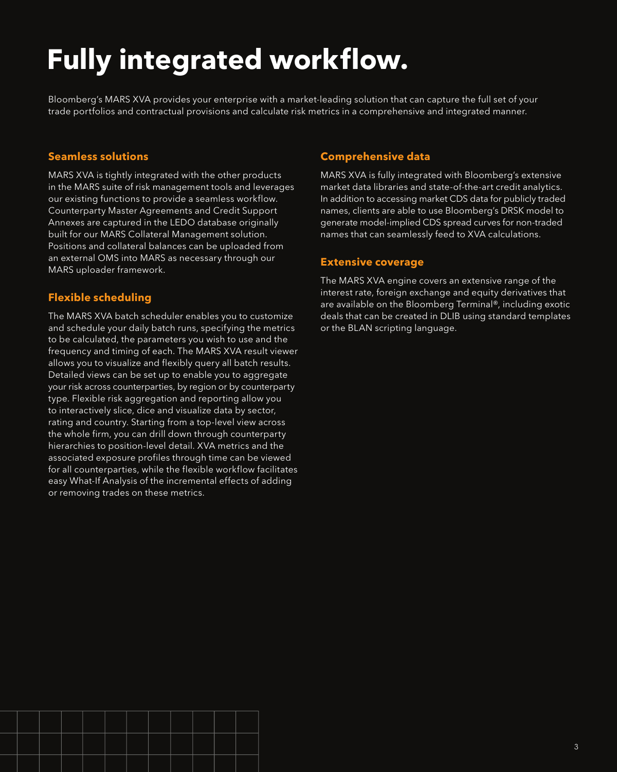# **Fully integrated workflow.**

Bloomberg's MARS XVA provides your enterprise with a market-leading solution that can capture the full set of your trade portfolios and contractual provisions and calculate risk metrics in a comprehensive and integrated manner.

#### **Seamless solutions**

MARS XVA is tightly integrated with the other products in the MARS suite of risk management tools and leverages our existing functions to provide a seamless workflow. Counterparty Master Agreements and Credit Support Annexes are captured in the LEDO database originally built for our MARS Collateral Management solution. Positions and collateral balances can be uploaded from an external OMS into MARS as necessary through our MARS uploader framework.

#### **Flexible scheduling**

The MARS XVA batch scheduler enables you to customize and schedule your daily batch runs, specifying the metrics to be calculated, the parameters you wish to use and the frequency and timing of each. The MARS XVA result viewer allows you to visualize and flexibly query all batch results. Detailed views can be set up to enable you to aggregate your risk across counterparties, by region or by counterparty type. Flexible risk aggregation and reporting allow you to interactively slice, dice and visualize data by sector, rating and country. Starting from a top-level view across the whole firm, you can drill down through counterparty hierarchies to position-level detail. XVA metrics and the associated exposure profiles through time can be viewed for all counterparties, while the flexible workflow facilitates easy What-If Analysis of the incremental effects of adding or removing trades on these metrics.

#### **Comprehensive data**

MARS XVA is fully integrated with Bloomberg's extensive market data libraries and state-of-the-art credit analytics. In addition to accessing market CDS data for publicly traded names, clients are able to use Bloomberg's DRSK model to generate model-implied CDS spread curves for non-traded names that can seamlessly feed to XVA calculations.

#### **Extensive coverage**

The MARS XVA engine covers an extensive range of the interest rate, foreign exchange and equity derivatives that are available on the Bloomberg Terminal®, including exotic deals that can be created in DLIB using standard templates or the BLAN scripting language.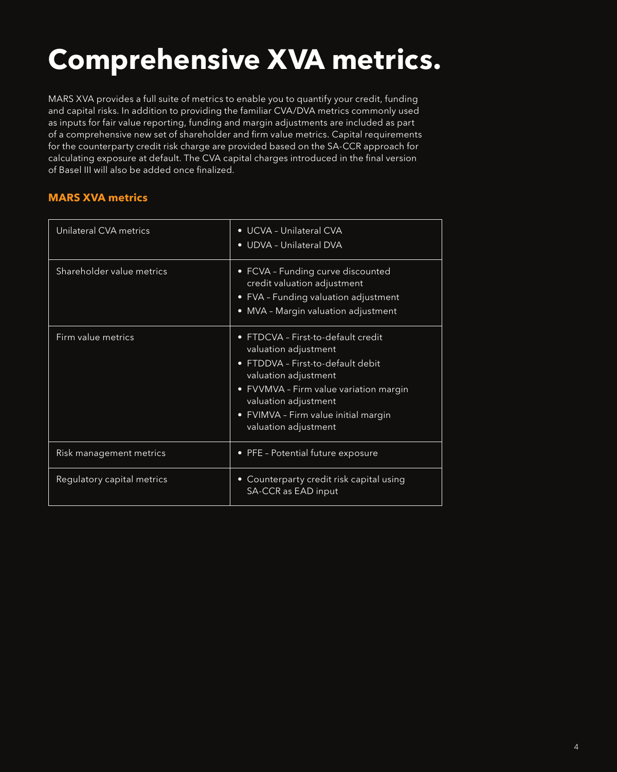# **Comprehensive XVA metrics.**

MARS XVA provides a full suite of metrics to enable you to quantify your credit, funding and capital risks. In addition to providing the familiar CVA/DVA metrics commonly used as inputs for fair value reporting, funding and margin adjustments are included as part of a comprehensive new set of shareholder and firm value metrics. Capital requirements for the counterparty credit risk charge are provided based on the SA-CCR approach for calculating exposure at default. The CVA capital charges introduced in the final version of Basel III will also be added once finalized.

#### **MARS XVA metrics**

| Unilateral CVA metrics     | • UCVA - Unilateral CVA<br>• UDVA - Unilateral DVA                                                                                                                                                                                                      |
|----------------------------|---------------------------------------------------------------------------------------------------------------------------------------------------------------------------------------------------------------------------------------------------------|
| Shareholder value metrics  | • FCVA - Funding curve discounted<br>credit valuation adjustment<br>• FVA - Funding valuation adjustment<br>• MVA - Margin valuation adjustment                                                                                                         |
| Firm value metrics         | • FTDCVA - First-to-default credit<br>valuation adjustment<br>FTDDVA - First-to-default debit<br>valuation adjustment<br>• FVVMVA - Firm value variation margin<br>valuation adjustment<br>• FVIMVA - Firm value initial margin<br>valuation adjustment |
| Risk management metrics    | • PFE - Potential future exposure                                                                                                                                                                                                                       |
| Regulatory capital metrics | Counterparty credit risk capital using<br>$\bullet$<br>SA-CCR as EAD input                                                                                                                                                                              |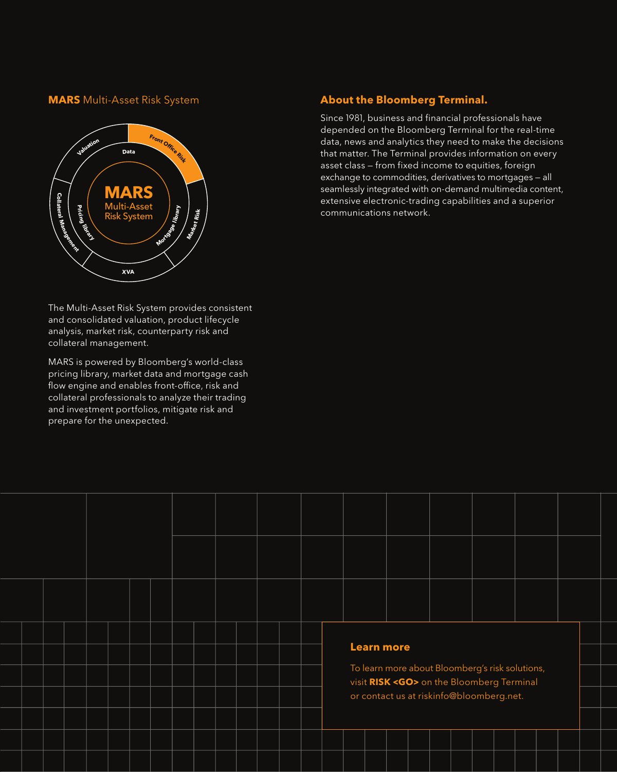#### **MARS** Multi-Asset Risk System



The Multi-Asset Risk System provides consistent and consolidated valuation, product lifecycle analysis, market risk, counterparty risk and collateral management.

MARS is powered by Bloomberg's world-class pricing library, market data and mortgage cash flow engine and enables front-office, risk and collateral professionals to analyze their trading and investment portfolios, mitigate risk and prepare for the unexpected.

### **About the Bloomberg Terminal.**

Since 1981, business and financial professionals have depended on the Bloomberg Terminal for the real-time data, news and analytics they need to make the decisions that matter. The Terminal provides information on every asset class — from fixed income to equities, foreign exchange to commodities, derivatives to mortgages — all seamlessly integrated with on-demand multimedia content, extensive electronic-trading capabilities and a superior communications network.